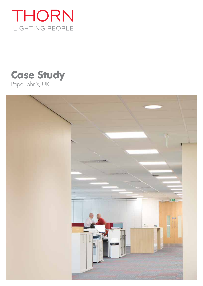

# **Case Study** Papa John's, UK

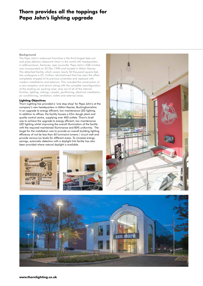# **Thorn provides all the toppings for Papa John's lighting upgrade**

#### **Background**

The Papa John's restaurant franchise is the third largest take-out and pizza delivery restaurant chain in the world with headquarters in Jeffersontown, Kentucky, near Louisville. Papa John's (GB) Limited was incorporated on 20 Dec 1990 and located in Milton Keynes. The detached facility, which covers nearly 50 thousand square feet, has undergone a £2.1million refurbishment that has seen the office completely stripped of its previous amenities and replaced with modern installations and exteriors. This included the construction of a new reception and atrium along with the complete reconfiguration of the existing car parking area, strip out of all of the internal finishes, lighting, ceilings, carpets, partitioning, electrical installation, air conditioning, ventilation, toilets and external areas.

## **Lighting Objectives**

Thorn Lighting has provided a 'one stop shop' for Papa John's at the company's new headquarters in Milton Keynes, Buckinghamshire in an upgrade to energy efficient, low maintenance LED lighting. In addition to offices, the facility houses a £5m dough plant and quality control centre, supplying over 400 outlets. Thorn's brief was to achieve the upgrade to energy efficient, low maintenance LED lighting whilst improving the overall illumination of the facility with the required maintained illuminance and 80% uniformity. The target for the installation was to provide an overall building lighting efficiency of not be less than 60 luminaire lumens / circuit watt and provide various lux levels for different areas. To increase energy savings, automatic detection with a daylight link facility has also been provided where natural daylight is available.





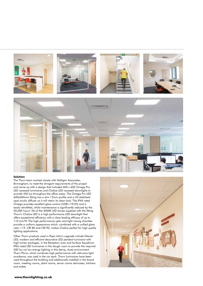



### **Solution**

The Thorn team worked closely with Halligan Associates, Birmingham, to meet the stringent requirements of the project and came up with a design that included 600 x 600 Omega Pro LED recessed luminaires and Chalice LED recessed downlights to provide 450 lux throughout the office areas. The Omega Pro LED 600x600mm fitting has a slim 12mm profile and a UV-stabilised opal acrylic diffuser so it will retain its clean look. The IP44 rated Omega provides excellent glare control (UGR<19/22) and is easily retrofitted, whilst maintenance is significantly reduced by the 50,000 hours' life of the 4000K LED lamps supplied with the fitting. Thorn's Chalice LED is a high performance LED downlight that offers exceptional efficiency with a class-leading efficacy of up to 110 Llm/W. The high performance optic and light mixing chamber provide a uniform appearance which, combined with a unified glare ratio <19, CRI 80 and CRI 90, makes Chalice perfect for high quality lighting applications.

Other Thorn products used in Papa John's upgrade include Glacier LED, modern and efficient decorative LED pendant luminaire with high lumen packages, in the Reception area and Surface Aquaforce IP65 rated LED luminaires in the dough room to provide the required 500 lux via low energy lighting in this damp, dusty environment. Thorn Plurio, which combines high performance with obtrusive light avoidance, was used in the car park. Thorn luminaires have been used throughout the building and additionally installed in the board room, meeting rooms, plant rooms, server rooms staircases, kitchens and toilets.